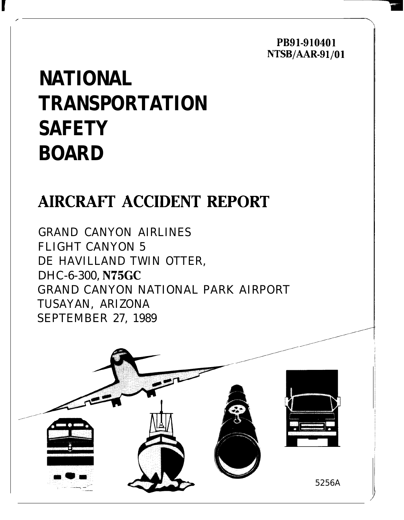PB91-910401 NTSB/AAR-91/01

# **NATIONAL TRANSPORTATION SAFETY BOARD**

# **AIRCRAFT ACCIDENT REPORT**

GRAND CANYON AIRLINES FLIGHT CANYON 5 DE HAVILLAND TWIN OTTER, DHC-6-300, N75GC GRAND CANYON NATIONAL PARK AIRPORT TUSAYAN, ARIZONA SEPTEMBER 27, 1989

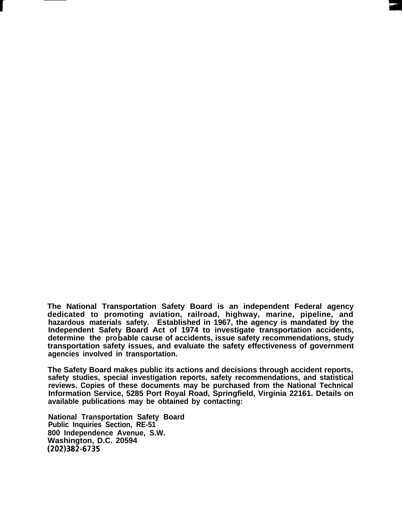**The National Transportation Safety Board is an independent Federal agency dedicated to promoting aviation, railroad, highway, marine, pipeline, and hazardous materials safety. Established in 1967, the agency is mandated by the Independent Safet Board Act of 1974 to investigate transportation accidents,** determine the probable cause of accidents, issue safety recommendations, study **transportation safety issues, and evaluate the safety effectiveness of government agencies involved in transportation.**

**The Safety Board makes public its actions and decisions through accident reports, safety studies, special investigation reports, safety recommendations, and statistical reviews. Copies of these documents may be purchased from the National Technical Information Service, 5285 Port Royal Road, Springfield, Virginia 22161. Details on available publications may be obtained by contacting:**

**National Transportation Safety Board Public Inquiries Section, RE-51 800 Independence Avenue, S.W. Washington, D.C. 20594 (202)382-6735**

**r**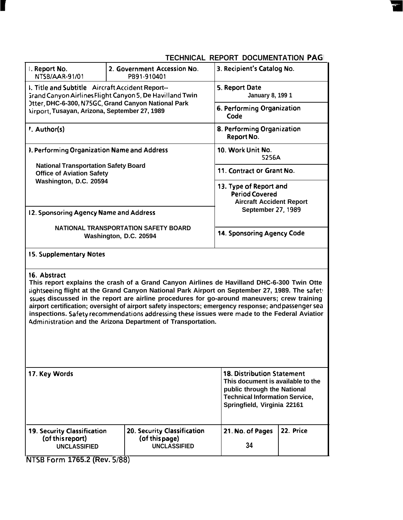## **TECHNICAL REPORT DOCUMENTATION PAGI**

| . Report No.<br>NTSB/AAR-91/01                                                                                                                                                                                                                                                                                                                                                                                                                                                                                                                                                       | 2. Government Accession No.<br>PB91-910401                                                                                                                                    |                                          | 3. Recipient's Catalog No.                                                                                      |  |  |  |  |  |
|--------------------------------------------------------------------------------------------------------------------------------------------------------------------------------------------------------------------------------------------------------------------------------------------------------------------------------------------------------------------------------------------------------------------------------------------------------------------------------------------------------------------------------------------------------------------------------------|-------------------------------------------------------------------------------------------------------------------------------------------------------------------------------|------------------------------------------|-----------------------------------------------------------------------------------------------------------------|--|--|--|--|--|
| I. Title and Subtitle Aircraft Accident Report--<br>Srand Canyon Airlines Flight Canyon 5, De Havilland Twin                                                                                                                                                                                                                                                                                                                                                                                                                                                                         | 5. Report Date                                                                                                                                                                | January 8, 199 1                         |                                                                                                                 |  |  |  |  |  |
| Otter, DHC-6-300, N75GC, Grand Canyon National Park<br><b>Airport, Tusayan, Arizona, September 27, 1989</b>                                                                                                                                                                                                                                                                                                                                                                                                                                                                          | 6. Performing Organization<br>Code                                                                                                                                            |                                          |                                                                                                                 |  |  |  |  |  |
| '. Author(s)                                                                                                                                                                                                                                                                                                                                                                                                                                                                                                                                                                         |                                                                                                                                                                               | 8. Performing Organization<br>Report No. |                                                                                                                 |  |  |  |  |  |
| <b>I. Performing Organization Name and Address</b>                                                                                                                                                                                                                                                                                                                                                                                                                                                                                                                                   |                                                                                                                                                                               | 10. Work Unit No.<br>5256A               |                                                                                                                 |  |  |  |  |  |
| <b>National Transportation Safety Board</b><br><b>Office of Aviation Safety</b>                                                                                                                                                                                                                                                                                                                                                                                                                                                                                                      | 11. Contract or Grant No.                                                                                                                                                     |                                          |                                                                                                                 |  |  |  |  |  |
| Washington, D.C. 20594                                                                                                                                                                                                                                                                                                                                                                                                                                                                                                                                                               |                                                                                                                                                                               |                                          | 13. Type of Report and<br><b>Period Covered</b><br><b>Aircraft Accident Report</b><br><b>September 27, 1989</b> |  |  |  |  |  |
| 12. Sponsoring Agency Name and Address                                                                                                                                                                                                                                                                                                                                                                                                                                                                                                                                               |                                                                                                                                                                               |                                          |                                                                                                                 |  |  |  |  |  |
|                                                                                                                                                                                                                                                                                                                                                                                                                                                                                                                                                                                      | NATIONAL TRANSPORTATION SAFETY BOARD<br>Washington, D.C. 20594                                                                                                                | 14. Sponsoring Agency Code               |                                                                                                                 |  |  |  |  |  |
| 15. Supplementary Notes                                                                                                                                                                                                                                                                                                                                                                                                                                                                                                                                                              |                                                                                                                                                                               |                                          |                                                                                                                 |  |  |  |  |  |
| 16. Abstract<br>This report explains the crash of a Grand Canyon Airlines de Havilland DHC-6-300 Twin Otte<br>sightseeing flight at the Grand Canyon National Park Airport on September 27, 1989. The safety<br>ssues discussed in the report are airline procedures for go-around maneuvers; crew training<br>airport certification; oversight of airport safety inspectors; emergency response; and passenger sea<br>inspections. Safety recommendations addressing these issues were made to the Federal Aviatior<br>Administration and the Arizona Department of Transportation. |                                                                                                                                                                               |                                          |                                                                                                                 |  |  |  |  |  |
| 17. Key Words                                                                                                                                                                                                                                                                                                                                                                                                                                                                                                                                                                        | <b>18. Distribution Statement</b><br>This document is available to the<br>public through the National<br><b>Technical Information Service,</b><br>Springfield, Virginia 22161 |                                          |                                                                                                                 |  |  |  |  |  |
| <b>19. Security Classification</b><br>(of this report)<br><b>UNCLASSIFIED</b>                                                                                                                                                                                                                                                                                                                                                                                                                                                                                                        | 20. Security Classification<br>(of this page)<br><b>UNCLASSIFIED</b>                                                                                                          | 21. No. of Pages<br>34                   | 22. Price                                                                                                       |  |  |  |  |  |
|                                                                                                                                                                                                                                                                                                                                                                                                                                                                                                                                                                                      |                                                                                                                                                                               |                                          |                                                                                                                 |  |  |  |  |  |

<u>1765.2 (Rev. 5/88)</u>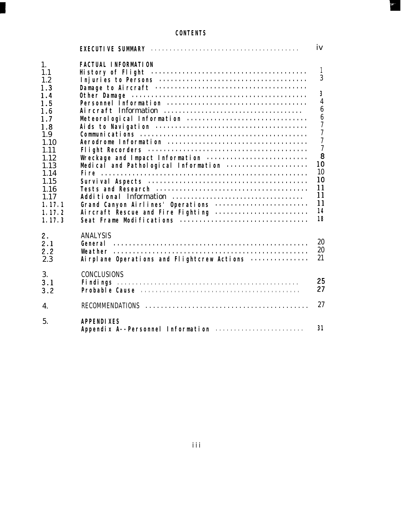### *CONTENTS*

 $\frac{1}{2}$ 

|                                                                                                                                                                 |                                                                                                                                                                                                                                           | iv                                                                                                                                                                                                                                     |
|-----------------------------------------------------------------------------------------------------------------------------------------------------------------|-------------------------------------------------------------------------------------------------------------------------------------------------------------------------------------------------------------------------------------------|----------------------------------------------------------------------------------------------------------------------------------------------------------------------------------------------------------------------------------------|
| 1.<br>1.1<br>1.2<br>1.3<br>1.4<br>1.5<br>1.6<br>1.7<br>1.8<br>1.9<br>1.10<br>1.11<br>1.12<br>1.13<br>1.14<br>1.15<br>1.16<br>1.17<br>1.17.1<br>1.17.2<br>1.17.3 | <b>FACTUAL INFORMATION</b><br>Meteorological Information<br>Wreckage and Impact Information<br>Medical and Pathological Information<br>Grand Canyon Airlines' Operations<br>Aircraft Rescue and Fire Fighting<br>Seat Frame Modifications | $\mathbf{1}$<br>3<br>$\boldsymbol{3}$<br>$\overline{4}$<br>$\boldsymbol{6}$<br>$\boldsymbol{6}$<br>$\overline{7}$<br>$\overline{7}$<br>$\overline{7}$<br>$\overline{\mathcal{U}}$<br>8<br>10<br>10<br>10<br>11<br>11<br>11<br>14<br>18 |
| 2.<br>2.1<br>2.2<br>2.3                                                                                                                                         | <b>ANALYSIS</b><br>Airplane Operations and Flightcrew Actions                                                                                                                                                                             | 20<br>20<br>21                                                                                                                                                                                                                         |
| 3.<br>3.1<br>3.2                                                                                                                                                | <b>CONCLUSIONS</b>                                                                                                                                                                                                                        | 25<br>27                                                                                                                                                                                                                               |
| 4.                                                                                                                                                              |                                                                                                                                                                                                                                           | 27                                                                                                                                                                                                                                     |
| 5.                                                                                                                                                              | <b>APPENDIXES</b><br>Appendix A--Personnel Information                                                                                                                                                                                    | 31                                                                                                                                                                                                                                     |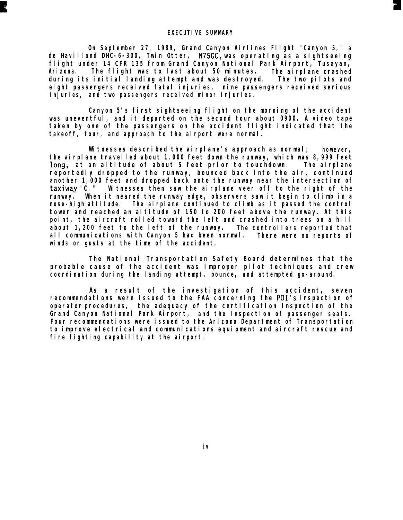*On September 27, 1989, Grand Canyon Airlines Flight "Canyon 5," a de Havilland DHC-6-300, Twin Otter, N75GC, was operating as a sightseeing flight under 14 CFR 135 from Grand Canyon National Park Airport, Tusayan, Arizona. The flight was to last about 50 minutes. during its initial landing attempt and was destroyed. The airplane crashed eight passengers received fatal injuries, nine passengers received serious The two pilots and injuries, and two passengers received minor injuries.*

*Canyon 5's first sightseeing flight on the morning of the accident was uneventful, and it departed on the second tour about 0900. A video tape taken by one of the passengers on the accident flight indicated that the takeoff, tour, and approach to the airport were normal.*

*Witnesses described the airplane's approach as normal; however, the airplane travelled about 1,000 feet down the runway, which was 8,999 feet long, at an altitude of about 5 feet prior to touchdown. The airplane reportedly dropped to the runway, bounced back into the air, continued another 1,000 feet and dropped back onto the runway near the intersection of taxiway "C." Witnesses then saw the airplane veer off to the right of the runway. When it neared the runway edge, observers saw it begin to climb in a nose-high attitude. The airplane continued to climb as it passed the control tower and reached an altitude of 150 to 200 feet above the runway. At this point, the aircraft rolled toward the left and crashed into trees on a hill about 1,200 feet to the left of the runway. The controllers reported that all communications with Canyon 5 had been normal. winds or gusts at the time of the accident. There were no reports of*

*The National Transportation Safety Board determines that the probable cause of the accident was improper pilot techniques and crew coordination during the landing attempt, bounce, and attempted go-around.*

*As a result of the investigation of this accident, seven recommendations were issued to the FAA concerning the POI's inspection of operator procedures, the adequacy of the certification inspection of the Grand Canyon National Park Airport, and the inspection of passenger seats. Four recommendations were issued to the Arizona Department of Transportation to improve electrical and communications equipment and aircraft rescue and fire fighting capability at the airport.*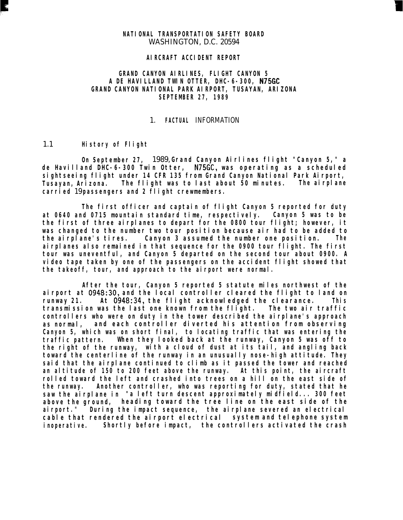#### *NATIONAL TRANSPORTATION SAFETY BOARD*

WASHINGTON, D.C. 20594

#### *AIRCRAFT ACCIDENT REPORT*

#### *GRAND CANYON AIRLINES, FLIGHT CANYON 5 A DE HAVILLAND TWIN OTTER, DHC-6-300, N75GC GRAND CANYON NATIONAL PARK AIRPORT, TUSAYAN, ARIZONA SEPTEMBER 27, 1989*

#### 1. *FACTUAL* INFORMATION

#### 1.1 *History of Flight*

*On September 27,* 1989, *Grand Canyon Airlines flight "Canyon 5," a de Havilland DHC-6-300 Twin Otter, N75GC, was operating as a scheduled sightseeing flight under 14 CFR 135 from Grand Canyon National Park Airport, Tusayan, Arizona. The flight was to last about 50 minutes. The airplane carried* 19 *passengers and 2 flight crewmembers.*

*The first officer and captain of flight Canyon 5 reported for duty at 0640 and 0715 mountain standard time, respectively. Canyon 5 was to be the first of three airplanes to depart for the 0800 tour flight; however, it was changed to the number two tour position because air had to be added to the airplane's tires. Canyon 3 assumed the number one position. The airplanes also remained in that sequence for the 0900 tour flight. The first tour was uneventful, and Canyon 5 departed on the second tour about 0900. A video tape taken by one of the passengers on the accident flight showed that the takeoff, tour, and approach to the airport were normal.*

*After the tour, Canyon 5 reported 5 statute miles northwest of the airport at 0948:30, and the local controller cleared the flight to land on runway 21. At 0948:34, the flight acknowledged the clearance. This transmission was the last one known from the flight. The two air traffic controllers who were on duty in the tower described the airplane's approach as normal, and each controller diverted his attention from observing Canyon 5, which was on short final, to locating traffic that was entering the traffic pattern. When they looked back at the runway, Canyon 5 was off to the right of the runway, with a cloud of dust at its tail, and angling back toward the centerline of the runway in an unusually nose-high attitude. They said that the airplane continued to climb as it passed the tower and reached an altitude of 150 to 200 feet above the runway. At this point, the aircraft rolled toward the left and crashed into trees on a hill on the east side of the runway. Another controller, who was reporting for duty, stated that he saw the airplane in "a left turn descent approximately midfield... 300 feet above the ground, heading toward the tree line on the east side of the airport." During the impact sequence, the airplane severed an electrical cable that rendered the airport electrical system and telephone system inoperative. Shortly before impact, the controllers activated the crash*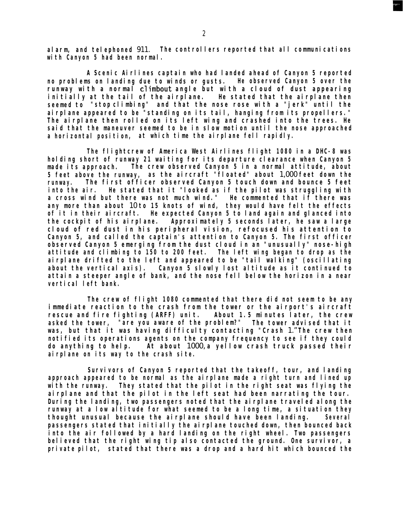*alarm, and telephoned* 911. *The controllers reported that all communications with Canyon 5 had been normal.*

*A Scenic Airlines captain who had landed ahead of Canyon 5 reported no problems on landing due to winds or gusts. He observed Canyon 5 over the runway with a normal climbout angle but with a cloud of dust appearing initially at the tail of the airplane. He stated that the airplane then seemed to "stop climbing" and that the nose rose with a "jerk" until the airplane appeared to be "standing on its tail, hanging from its propellers." The airplane then rolled on its left wing and crashed into the trees. He said that the maneuver seemed to be in slow motion until the nose approached a horizontal position, at which time the airplane fell rapidly.*

*The flightcrew of America West Airlines flight 1080 in a DHC-8 was holding short of runway 21 waiting for its departure clearance when Canyon 5 made its approach. The crew observed Canyon 5 in a normal attitude, about 5 feet above the runway, as the aircraft "floated" about* 1,000 *feet down the runway. The first officer observed Canyon 5 touch down and bounce 5 feet into the air. He stated that it "looked as if the pilot was struggling with a cross wind but there was not much wind." He commented that if there was any more than about* 10 *to 15 knots of wind, they would have felt the effects of it in their aircraft. He expected Canyon 5 to land again and glanced into the cockpit of his airplane. Approximately 5 seconds later, he saw a large cloud of red dust in his peripheral vision, refocused his attention to Canyon 5, and called the captain's attention to Canyon 5. The first officer observed Canyon 5 emerging from the dust cloud in an "unusually" nose-high attitude and climbing to 150 to 200 feet. The left wing began to drop as the airplane drifted to the left and appeared to be "tail walking" (oscillating about the vertical axis). Canyon 5 slowly lost altitude as it continued to attain a steeper angle of bank, and the nose fell below the horizon in a near vertical left bank.*

*The crew of flight 1080 commented that there did not seem to be any immediate reaction to the crash from the tower or the airport's aircraft rescue and fire fighting (ARFF) unit. About 1.5 minutes later, the crew asked the tower, "are you aware of the problem?" The tower advised that it was, but that it was having difficulty contacting "Crash* 1." *The crew then notified its operations agents on the company frequency to see if they could do anything to help. At about* 1000, *a yellow crash truck passed their airplane on its way to the crash site.*

*Survivors of Canyon 5 reported that the takeoff, tour, and landing approach appeared to be normal as the airplane made a right turn and lined up with the runway. They stated that the pilot in the right seat was flying the airplane and that the pilot in the left seat had been narrating the tour. During the landing, two passengers noted that the airplane traveled along the runway at a low altitude for what seemed to be a long time, a situation they thought unusual because the airplane should have been landing. Several passengers stated that initially the airplane touched down, then bounced back into the air followed by a hard landing on the right wheel. Two passengers believed that the right wing tip also contacted the ground. One survivor, a private pilot, stated that there was a drop and a hard hit which bounced the*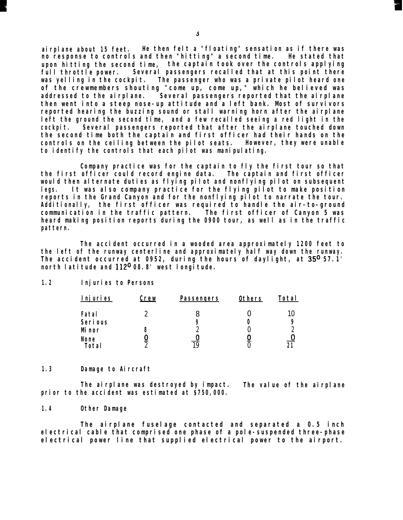*airplane about 15 feet. He then felt a "floating" sensation as if there was no response to controls and then "hitting" a second time. He stated that upon hitting the second time, the captain took over the controls applying full throttle power. Several passengers recalled that at this point there was yelling in the cockpit. The passenger who was a private pilot heard one of the crewmembers shouting "come up, come up," which he believed was addressed to the airplane. Several passengers reported that the airplane then went into a steep nose-up attitude and a left bank. Most of survivors reported hearing the buzzing sound or stall warning horn after the airplane left the ground the second time, and a few recalled seeing a red light in the cockpit. Several passengers reported that after the airplane touched down the second time both the captain and first officer had their hands on the controls on the ceiling between the pilot seats. However, they were unable to identify the controls that each pilot was manipulating.*

*Company practice was for the captain to fly the first tour so that the first officer could record engine data. The captain and first officer would then alternate duties as flying pilot and nonflying pilot on subsequent legs. It was also company practice for the flying pilot to make position reports in the Grand Canyon and for the nonflying pilot to narrate the tour. Additionally, the first officer was required to handle the air-to-ground communication in the traffic pattern. The first officer of Canyon 5 was heard making position reports during the 0900 tour, as well as in the traffic pattern.*

*The accident occurred in a wooded area approximately 1200 feet to the left of the runway centerline and approximately half way down the runway. The accident occurred at 0952, during the hours of daylight, at 35O 57.1' north latitude and 112O 08.8' west longitude.*

#### *1.2 Injuries to Persons*

| <b>Injuries</b> | <u>Crew</u> | <b>Passengers</b> | <b>Others</b> | <b>Total</b> |
|-----------------|-------------|-------------------|---------------|--------------|
| Fatal           |             |                   |               |              |
| <b>Serious</b>  |             | 9                 |               |              |
| <b>M</b> nor    | ð           |                   |               | سا           |
| <b>None</b>     |             |                   |               |              |
| <b>Total</b>    |             |                   |               |              |

#### *1.3 Damage to Aircraft*

*The airplane was destroyed by impact. The value of the airplane prior to the accident was estimated at \$750,000.*

#### *1.4 Other Damage*

*The airplane fuselage contacted and separated a 0.5 inch electrical cable that comprised one phase of a pole-suspended three-phase electrical power line that supplied electrical power to the airport.*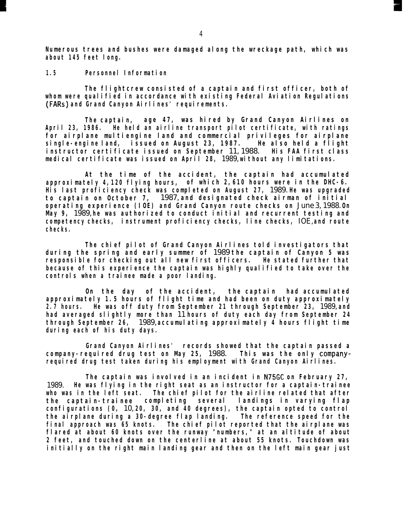*Numerous trees and bushes were damaged along the wreckage path, which was about 145 feet long.*

#### *1.5 Personnel Information*

*The flightcrew consisted of a captain and first officer, both of whom were qualified in accordance with existing Federal Aviation Regulations (FARs) and Grand Canyon Airlines' requirements.*

*The captain, age 47, was hired by Grand Canyon Airlines on April 23, 1986. He held an airline transport pilot certificate, with ratings for airplane multiengine land and commercial privileges for airplane single-engine land, issued on August 23, 1987. He also held a flight instructor certificate issued on September* 11, 1988. *His FAA first class medical certificate was issued on April 28,* 1989, *without any limitations.*

*At the time of the accident, the captain had accumulated approximately 4,120 flying hours, of which 2,610 hours were in the DHC-6. His last proficiency check was completed on August 27,* 1989. *He was upgraded to captain on October 7,* 1987, *and designated check airman of initial operating experience (IOE) and Grand Canyon route checks on* June 3, 1988. *On May 9,* 1989, *he was authorized to conduct initial and recurrent testing and competency checks, instrument proficiency checks, line checks,* IOE, *and route checks.*

*The chief pilot of Grand Canyon Airlines told investigators that during the spring and early summer of* 1989 *the captain of Canyon 5 was responsible for checking out all new first officers. He stated further that because of this experience the captain was highly qualified to take over the controls when a trainee made a poor landing.*

*On the day of the accident, the captain had accumulated approximately 1.5 hours of flight time and had been on duty approximately 2.7 hours. He was off duty from September 21 through September 23,* 1989, *and had averaged slightly more than* 11 *hours of duty each day from September 24 through September 26,* 1989, *accumulating approximately 4 hours flight time during each of his duty days.*

*Grand Canyon Airlines' records showed that the captain passed a company-required drug test on May 25,* 1988. *This was the only companyrequired drug test taken during his employment with Grand Canyon Airlines.*

*The captain was involved in an incident in N75GC on February 27,* 1989. *He was flying in the right seat as an instructor for a captain-trainee who was in the left seat. The chief pilot for the airline related that after the captain-trainee completing several landings in varying flap configurations (0,* 10, *20, 30, and 40 degrees), the captain opted to control the airplane during a 30-degree flap landing. The reference speed for the final approach was 65 knots. The chief pilot reported that the airplane was flared at about 60 knots over the runway "numbers," at an altitude of about 2 feet, and touched down on the centerline at about 55 knots. Touchdown was initially on the right main landing gear and then on the left main gear just*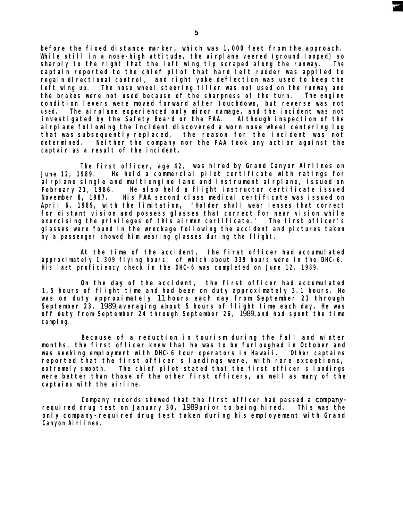*before the fixed distance marker, which was 1,000 feet from the approach.* While still in a nose-high attitude, the airplane veered (ground looped) so *sharply to the right that the left wing tip scraped along the runway. The captain reported to the chief pilot that hard left rudder was applied to regain directional control, and right yoke deflection was used to keep the left wing up. The nose wheel steering tiller was not used on the runway and the brakes were not used because of the sharpness of the turn. The engine condition levers were moved forward after touchdown, but reverse was not used. The airplane experienced only minor damage, and the incident was not investigated by the Safety Board or the FAA. Although inspection of the airplane following the incident discovered a worn nose wheel centering lug that was subsequently replaced, the reason for the incident was not determined. Neither the company nor the FAA took any action against the captain as a result of the incident.*

*The first officer, age 42, was hired by Grand Canyon Airlines on June 12, 1989. He held a commercial pilot certificate with ratings for airplane single and multiengine land and instrument airplane, issued on February 21, 1986. He also held a flight instructor certificate issued November 8, 1987. His FAA second class medical certificate was issued on April 6, 1989, with the limitation, "Holder shall wear lenses that correct for distant vision and possess glasses that correct for near vision while exercising the privileges of this airmen certificate." The first officer's glasses were found in the wreckage following the accident and pictures taken by a passenger showed him wearing glasses during the flight.*

*At the time of the accident, the first officer had accumulated approximately 1,309 flying hours, of which about 339 hours were in the DHC-6. His last proficiency check in the DHC-6 was completed on June 12, 1989.*

*On the day of the accident, the first officer had accumulated 1.5 hours of flight time and had been on duty approximately 3.1 hours. He was on duty approximately* 11 *hours each day from September 21 through September 23,* 1989, *averaging about 5 hours of flight time each day. He was off duty from September 24 through September 26,* 1989, *and had spent the time camping.*

*Because of a reduction in tourism during the fall and winter months, the first officer knew that he was to be furloughed in October and was seeking employment with DHC-6 tour operators in Hawaii. Other captains reported that the first officer's landings were, with rare exceptions, extremely smooth. The chief pilot stated that the first officer's landings were better than those of the other first officers, as well as many of the captains with the airline.*

*Company records showed that the first officer had passed a companyrequired drug test on January 30,* 1989 *prior to being hired. This was the only company-required drug test taken during his employement with Grand Canyon Airlines.*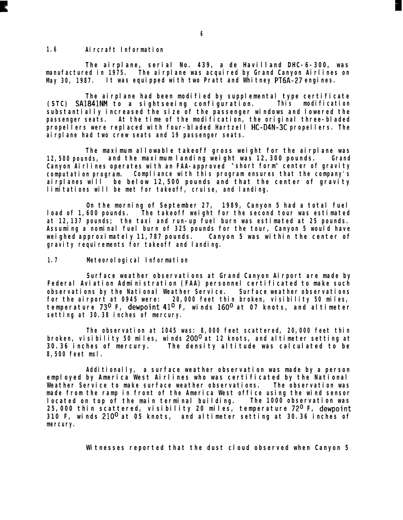#### *1.6 Aircraft Information*

*The airplane, serial No. 439, a de Havilland DHC-6-300, was manufactured in 1975. The airplane was acquired by Grand Canyon Airlines on May 30, 1987. It was equipped with two Pratt and Whitney PT6A-27 engines.*

*The airplane had been modified by supplemental type certificate (STC) SA1841NM to a sightseeing configuration. This modification substantially increased the size of the passenger windows and lowered the passenger seats. At the time of the modification, the original three-bladed propellers were replaced with four-bladed Hartzell HC-D4N-3C propellers. The airplane had two crew seats and 19 passenger seats.*

*The maximum allowable takeoff gross weight for the airplane was 12,500 pounds, and the maximum landing weight was 12,300 pounds. Grand Canyon Airlines operates with an FAA-approved "short form" center of gravity computation program. Compliance with this program ensures that the company's airplanes will be below 12,500 pounds and that the center of gravity limitations will be met for takeoff, cruise, and landing.*

*On the morning of September 27, 1989, Canyon 5 had a total fuel load of 1,600 pounds. The takeoff weight for the second tour was estimated at 12,137 pounds; the taxi and run-up fuel burn was estimated at 25 pounds. Assuming a nominal fuel burn of 325 pounds for the tour, Canyon 5 would have weighed approximately 11,787 pounds. Canyon 5 was within the center of gravity requirements for takeoff and landing.*

#### *1.7 Meteorological Information*

*Surface weather observations at Grand Canyon Airport are made by Federal Aviation Administration (FAA) personnel certificated to make such observations by the National Weather Service. Surface weather observations for the airport at 0945 were: 20,000 feet thin broken, visibility 50 miles, temperature 73O F, dewpoint 41° F, winds 160° at 07 knots, and altimeter setting at 30.38 inches of mercury.*

*The observation at 1045 was: 8,000 feet scattered, 20,000 feet thin broken, visibility 50 miles, winds 200° at 12 knots, and altimeter setting at 30.36 inches of mercury. The density altitude was calculated to be 8,500 feet msl.*

*Additionally, a surface weather observation was made by a person employed by America West Airlines who was certificated by the National Weather Service to make surface weather observations. The observation was made from the ramp in front of the America West office using the wind sensor located on top of the main terminal building. The 1000 observation was 25,000 thin scattered, visibility 20 miles, temperature 72O F, dewpoint 310 F, winds 210° at 05 knots, and altimeter setting at 30.36 inches of mercury.*

*Witnesses reported that the dust cloud observed when Canyon 5*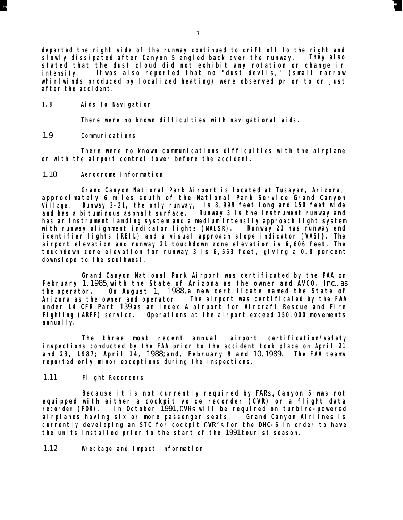*departed the right side of the runway continued to drift off to the right and slowly dissipated after Canyon 5 angled back over the runway. They also stated that the dust cloud did not exhibit any rotation or change in intensity.* It *was also reported that no "dust devils," (small narrow whirlwinds produced by localized heating) were observed prior to or just after the accident.*

*1.8 Aids to Navigation*

*There were no known difficulties with navigational aids.*

1.9 *Communications*

*There were no known communications difficulties with the airplane or with the airport control tower before the accident.*

1.10 *Aerodrome Information*

*Grand Canyon National Park Airport is located at Tusayan, Arizona, approximately 6 miles south of the National Park Service Grand Canyon Village. Runway 3-21, the only runway, is 8,999 feet long and 150 feet wide and has a bituminous asphalt surface. Runway 3 is the instrument runway and has an instrument landing system and a medium intensity approach light system with runway alignment indicator lights (MALSR). Runway 21 has runway end identifier lights (REIL) and a visual approach slope indicator (VASI). The airport elevation and runway 21 touchdown zone elevation is 6,606 feet. The touchdown zone elevation for runway 3 is 6,553 feet, giving a 0.8 percent downslope to the southwest.*

*Grand Canyon National Park Airport was certificated by the FAA on February* 1, 1985, *with the State of Arizona as the owner and AVCO,* Inc., as *the operator. On August* 1, 1988, *a new certificate named the State of Arizona as the owner and operator. The airport was certificated by the FAA under 14 CFR Part* 139 *as an Index A airport for Aircraft Rescue and Fire Fighting (ARFF) service. Operations at the airport exceed 150,000 movements annually.*

*The three most recent annual airport certification/safety inspections conducted by the FAA prior to the accident took place on April 21 and 23, 1987; April 14,* 1988; *and, February 9 and* 10, 1989. *The FAA teams reported only minor exceptions during the inspections.*

#### 1.11 *Flight Recorders*

*Because it is not currently required by FARs, Canyon 5 was not equipped with either a cockpit voice recorder (CVR) or a flight data recorder (FDR). In October* 1991, *CVRs will be required on turbine-powered airplanes having six or more passenger seats. Grand Canyon Airlines is currently developing an STC for cockpit CVR's for the DHC-6 in order to have the units installed prior to the start of the* 1991 *tourist season.*

1.12 *Wreckage and Impact Information*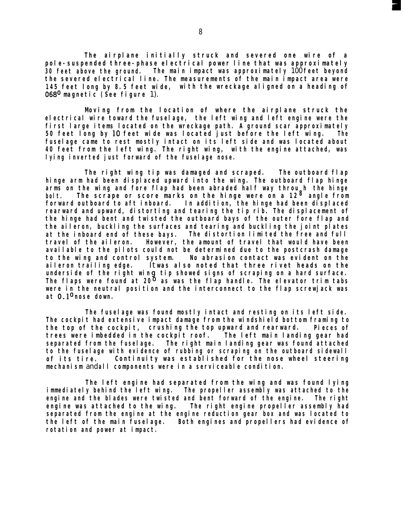*The airplane initially struck and severed one wire of a pole-suspended three-phase electrical power line that was approximately 30 feet above the ground. The main impact was approximately* 100 *feet beyond the severed electrical line. The measurements of the main impact area were 145 feet long by 8.5 feet wide, with the wreckage aligned on a heading of 068O magnetic (See figure* 1).

*Moving from the location of where the airplane struck the electrical wire toward the fuselage, the left wing and left engine were the first large items located on the wreckage path. A ground scar approximately 50 feet long by 10 feet wide was located just before the left wing. The fuselage came to rest mostly intact on its left side and was located about 40 feet from the left wing. The right wing, with the engine attached, was lying inverted just forward of the fuselage nose.*

*The right wing tip was damaged and scraped. The outboard flap hinge arm had been displaced upward into the wing. The outboard flap hinge arms on the wing and fore flap had been abraded half way throu h the hinge bolt. The scrape or score marks on the hinge were on a 128 angle from forward outboard to aft inboard. In addition, the hinge had been displaced rearward and upward, distorting and tearing the tip rib. The displacement of the hinge had bent and twisted the outboard bays of the outer fore flap and the aileron, buckling the surfaces and tearing and buckling the joint plates at the inboard end of these bays. The distortion limited the free and full travel of the aileron. However, the amount of travel that would have been available to the pilots could not be determined due to the postcrash damage to the wing and control system. No abrasion contact was evident on the aileron trailing edge.* It *was also noted that three rivet heads on the underside of the right win 9, The flaps were found at 20 tip showed signs of scraping on a hard surface. as was the flap handle. The elevator trim tabs were in the neutral position and the interconnect to the flap screwjack was*  $at$   $0.1<sup>0</sup>$  nose down.

*The fuselage was found mostly intact and resting on its left side. The cockpit had extensive impact damage from the windshield bottom framing to the top of the cockpit, crushing the top upward and rearward. Pieces of trees were imbedded in the cockpit roof. separated from the fuselage. The left main landing gear had The right main landing gear was found attached to the fuselage with evidence of rubbing or scraping on the outboard sidewall of its tire. Continuity was established for the nose wheel steering mechanism* and *all components were in a serviceable condition.*

*The left engine had separated from the wing and was found lying immediately behind the left wing. The propeller assembly was attached to the engine and the blades were twisted and bent forward of the engine. engine was attached to the wing. The right The right engine propeller assembly had separated from the engine at the engine reduction gear box and was located to the left of the main fuselage. rotation and power at impact. Both engines and propellers had evidence of*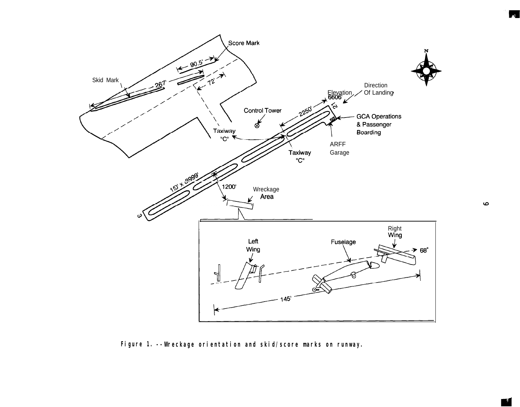

*Figure 1. --Wreckage orientation and skid/score marks on runway.*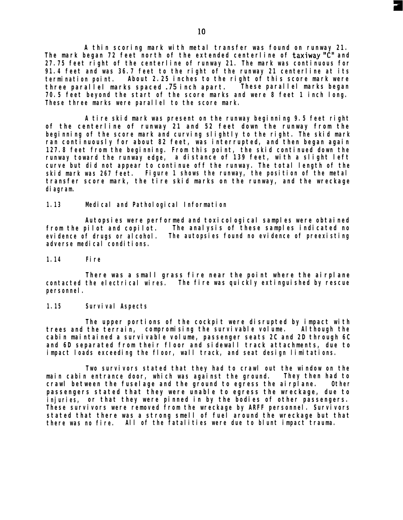*A thin scoring mark with metal transfer was found on runway 21. The mark began 72 feet north of the extended centerline of taxiway "C" and 27.75 feet right of the centerline of runway 21. The mark was continuous for 91.4 feet and was 36.7 feet to the right of the runway 21 centerline at its termination point. About 2.25 inches to the right of this score mark were three parallel marks spaced*  $.75$  *inch apart. 70.5 feet beyond the start of the score marks and were 8 feet 1 inch long. These three marks were parallel to the score mark.*

*A tire skid mark was present on the runway beginning 9.5 feet right of the centerline of runway 21 and 52 feet down the runway from the beginning of the score mark and curving slightly to the right. The skid mark ran continuously for about 82 feet, was interrupted, and then began again 127.8 feet from the beginning. From this point, the skid continued down the runway toward the runway edge, a distance of 139 feet, with a slight left curve but did not appear to continue off the runway. The total length of the skid mark was 267 feet. Figure 1 shows the runway, the position of the metal transfer score mark, the tire skid marks on the runway, and the wreckage diagram.*

#### *1.13 Medical and Pathological Information*

*Autopsies were performed and toxicological samples were obtained from the pilot and copilot. The analysis of these samples indicated no evidence of drugs or alcohol. The autopsies found no evidence of preexisting adverse medical conditions.*

#### *1.14 Fire*

*There was a small grass fire near the point where the airplane contacted the electrical wires. The fire was quickly extinguished by rescue personnel.*

#### *1.15 Survival Aspects*

*The upper portions of the cockpit were disrupted by impact with trees and the terrain, compromising the survivable volume. Although the cabin maintained a survivable volume, passenger seats 2C and 2D through 6C and 6D separated from their floor and sidewall track attachments, due to impact loads exceeding the floor, wall track, and seat design limitations.*

*Two survivors stated that they had to crawl out the window on the main cabin entrance door, which was against the ground. They then had to crawl between the fuselage and the ground to egress the airplane. Other passengers stated that they were unable to egress the wreckage, due to injuries, or that they were pinned in by the bodies of other passengers. These survivors were removed from the wreckage by ARFF personnel. Survivors stated that there was a strong smell of fuel around the wreckage but that there was no fire. All of the fatalities were due to blunt impact trauma.*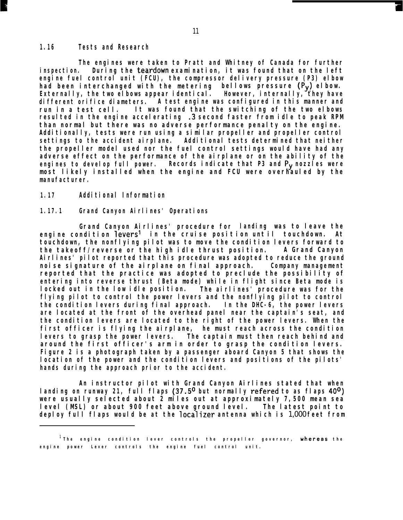#### *1.16 Tests and Research*

*The engines were taken to Pratt and Whitney of Canada for further inspection. During the teardown examination, it was found that on the left engine fuel control unit (FCU), the compressor delivery pressure (P3) elbow had been interchanged with the metering Externally, the two elbows appear identical. bellows pressure (Py) elbow. However, internally, they have different orifice diameters. A test engine was configured in this manner and run in a test cell. It was found that the switching of the two elbows resulted in the engine accelerating .3 second faster from idle to peak RPM than normal but there was no adverse performance penalty on the engine. Additionally, tests were run using a similar propeller and propeller control settings to the accident airplane. Additional tests determined that neither the propeller model used nor the fuel control settings would have had any adverse effect on the performance of the airplane or on the ability of the engines to develop full power. Records indicate that P3 and Py nozzles were most likely installed when the engine and FCU were overhauled by the manufacturer.*

#### *1.17 Additional Information*

#### *1.17.1 Grand Canyon Airlines' Operations*

*Grand Canyon Airlines' procedure for landing was to leave the engine condition levers' in the cruise posit ion unt il touchdown. At touchdown, the nonflying pilot was to move the condition levers forward to the takeoff/reverse or the high idle thrust position. A Grand Canyon Airlines' pilot reported that this procedure was adopted to reduce the ground noise signature of the airplane on final approach. Company management reported that the practice was adopted to preclude the possibility of entering into reverse thrust (Beta mode) while in flight since Beta mode is locked out in the low idle position. The airlines' procedure was for the flying pilot to control the power levers and the nonflying pilot to control the condition levers during final approach. In the DHC-6, the power levers are located at the front of the overhead panel near the captain's seat, and the condition levers are located to the right of the power levers. When the first officer is flying the airplane, he must reach across the condition levers to grasp the power levers. The captain must then reach behind and around the first officer's arm in order to grasp the condition levers. Figure 2 is a photograph taken by a passenger aboard Canyon 5 that shows the location of the power and the condition levers and positions of the pilots' hands during the approach prior to the accident.*

*An instructor pilot with Grand Canyon Airlines stated that when landing on runway 21, full flaps (37.5O but normally refered to as flaps 40°) were usually selected about 2 miles out at approximately 7,500 mean sea level (MSL) or about 900 feet above ground level. The latest point to deploy full flaps would be at the localizer antenna which is* 1,000 *feet from*

*<sup>1</sup> The engine condition lever controls the propeller governor, uhereas th e engine power Lever controls the engine fuel control unit.*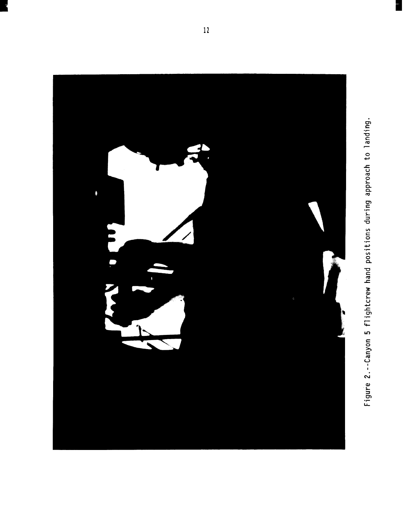

Figure 2.--Canyon 5 flightcrew hand positions during approach to landing.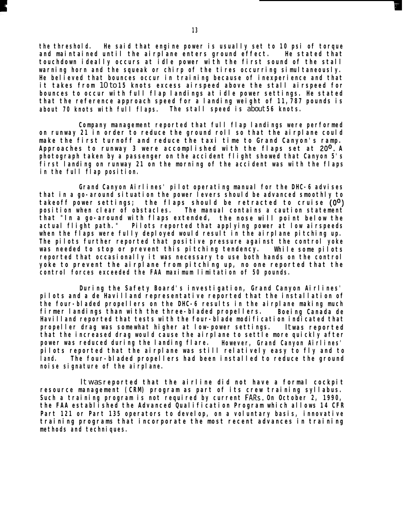*the threshold. He said that engine power is usually set to 10 psi of torque and maintained until the airplane enters ground effect. He stated that touchdown ideally occurs at idle power with the first sound of the stall warning horn and the squeak or chirp of the tires occurring simultaneously. He believed that bounces occur in training because of inexperience and that it takes from* 10 to *15 knots excess airspeed above the stall airspeed for bounces to occur with full flap landings at idle power settings. He stated that the reference approach speed for a landing weight of 11,787 pounds is about 70 knots with full flaps. The stall speed is* about *56 knots.*

*Company management reported that full flap landings were performed on runway 21 in order to reduce the ground roll so that the airplane could make the first turnoff and reduce the taxi time to Grand Canyon's ramp. Approaches to runway 3 were accomplished with the flaps set at 20°. A photograph taken by a passenger on the accident flight showed that Canyon 5's first landing on runway 21 on the morning of the accident was with the flaps in the full flap position.*

*Grand Canyon Airlines' pilot operating manual for the DHC-6 advises that in a go-around situation the power levers should be advanced smoothly to takeoff power settings; the flaps should be retracted to cruise (O") position when clear of obstacles. The manual contains a caution statement that "In a go-around with flaps extended, the nose will point below the actual flight path." Pilots reported that applying power at low airspeeds when the flaps were fully deployed would result in the airplane pitching up. The pilots further reported that positive pressure against the control yoke was needed to stop or prevent this pitching tendency. While some pilots reported that occasionally it was necessary to use both hands on the control yoke to prevent the airplane from pitching up, no one reported that the control forces exceeded the FAA maximum limitation of 50 pounds.*

*During the Safety Board's investigation, Grand Canyon Airlines' pilots and a de Havilland representative reported that the installation of the four-bladed propellers on the DHC-6 results in the airplane making much firmer landings than with the three-bladed propellers. Boeing Canada de Havilland reported that tests with the four-blade modification indicated that propeller drag was somewhat higher at low-power settings.* It *was reported that the increased drag would cause the airplane to settle more quickly after power was reduced during the landing flare. However, Grand Canyon Airlines' pilots reported that the airplane was still relatively easy to fly and to land. The four-bladed propellers had been installed to reduce the ground noise signature of the airplane.*

It was *reported that the airline did not have a formal cockpit resource management (CRM) program as part of its crew training syllabus. Such a training program is not required by current FARs. On October 2, 1990, the FAA established the Advanced Qualification Program which allows 14 CFR Part 121 or Part 135 operators to develop, on a voluntary basis, innovative training programs that incorporate the most recent advances in training methods and techniques.*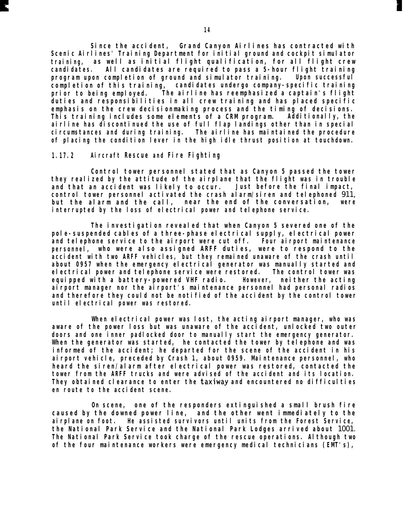*Since the accident, Grand Canyon Airlines has contracted with Scenic Airlines' Training Department for initial ground and cockpit simulator training, as well as initial flight qualification, for all flight crew candidates. All candidates are required to pass a 5-hour flight training program upon completion of ground and simulator training. Upon successful completion of this training, candidates undergo company-specific training prior to being employed. The airline has reemphasized a captain's flight duties and responsibilities in all crew training and has placed specific emphasis on the crew decisionmaking process and the timing of decisions. This training includes some elements of a CRM program. Additionally, the airline has discontinued the use of full flap landings other than in special circumstances and during training. The airline has maintained the procedure of placing the condition lever in the high idle thrust position at touchdown.*

#### *1.17.2 Aircraft Rescue and Fire Fighting*

*Control tower personnel stated that as Canyon 5 passed the tower they realized by the attitude of the airplane that the flight was in trouble and that an accident was likely to occur. Just before the final impact, control tower personnel activated the crash alarm/siren and telephoned* 911, *but the alarm and the call, near the end of the conversation, were interrupted by the loss of electrical power and telephone service.*

*The investigation revealed that when Canyon 5 severed one of the pole-suspended cables of a three-phase electrical supply, electrical power and telephone service to the airport were cut off. Four airport maintenance personnel, who were also assigned ARFF duties, were to respond to the accident with two ARFF vehicles, but they remained unaware of the crash until about 0957 when the emergency electrical generator was manually started and electrical power and telephone service were restored. The control tower was equipped with a battery-powered VHF radio. However, neither the acting airport manager nor the airport's maintenance personnel had personal radios and therefore they could not be notified of the accident by the control tower until electrical power was restored.*

*When electrical power was lost, the acting airport manager, who was aware of the power loss but was unaware of the accident, unlocked two outer doors and one inner padlocked door to manually start the emergency generator. When the generator was started, he contacted the tower by telephone and was informed of the accident; he departed for the scene of the accident in his airport vehicle, preceded by Crash 1, about 0959. Maintenance personnel, who heard the siren/alarm after electrical power was restored, contacted the tower from the ARFF trucks and were advised of the accident and its location. They obtained clearance to enter the taxiway and encountered no difficulties en route to the accident scene.*

*On scene, one of the responders extinguished a small brush fire caused by the downed power line, and the other went immediately to the airplane on foot. He assisted survivors until units from the Forest Service, the National Park Service and the National Park Lodges arrived about* 1001. *The National Park Service took charge of the rescue operations. Although two of the four maintenance workers were emergency medical technicians (EMT's),*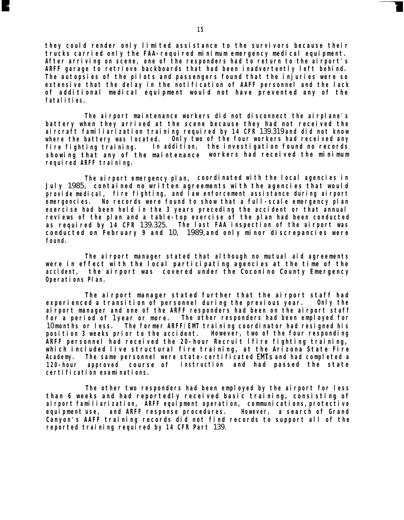*they could render only limited assistance to the survivors because their trucks carried only the FAA-required minimum emergency medical equipment. After arriving on scene, one of the responders had to return to the airport's ARFF garage to retrieve backboards that had been inadvertently left behind. The autopsies of the pilots and passengers found that the injuries were so extensive that the delay in the notification of AAFF personnel and the lack of additional medical equipment would not have prevented any of the fatalities.*

*The airport maintenance workers did not disconnect the airplane's battery when they arrived at the scene because they had not received the aircraft familiarization training required by 14 CFR* 139.319 *and did not know where the battery was located. Only two of the four workers had received any fire fighting training. In addition, the investigation found no records showing that any of the maintenance workers had received the minimum required ARFF training.*

*The airport emergency plan, coordinated with the local agencies in July* 1985, *contained no written agreements with the agencies that would provide medical, fire fighting, and law enforcement assistance during airport emergencies. No records were found to show that a full-scale emergency plan exercise had been held in the 3 years preceding the accident or that annual reviews of the plan and a table-top exercise of the plan had been conducted as required by 14 CFR* 139.325. *The last FAA inspection of the airport was conducted on February 9 and* 10, 1989, *and only minor discrepancies were found.*

*The airport manager stated that although no mutual aid agreements were in effect with the local participating agencies at the time of the accident, the airport was covered under the Coconino County Emergency Operations Plan.*

*The airport manager stated further that the airport staff had experienced a transition of personnel during the previous year. Only the airport manager and one of the ARFF responders had been on the airport staff for a period of* 1 *year or more. The other responders had been employed for* 10 *months or less. The former ARFF/EMT training coordinator had resigned his position 3 weeks prior to the accident. ARFF personnel had received the 20-hour Recruit* I *fire fighting training, which included live structural fire training, at the Arizona State Fire Academy. The same personnel were state-certificated EMTs and had completed a 120-hour approved course of instruction and had passed the state certification examinations.*

*The other two responders had been employed by the airport for less than 6 weeks and had reportedly received basic training, consisting of airport familiarization, ARFF equipment operation, communications, protective equipment use, and ARFF response procedures. However, a search of Grand Canyon's AAFF training records did not find records to support all of the reported training required by 14 CFR Part* 139.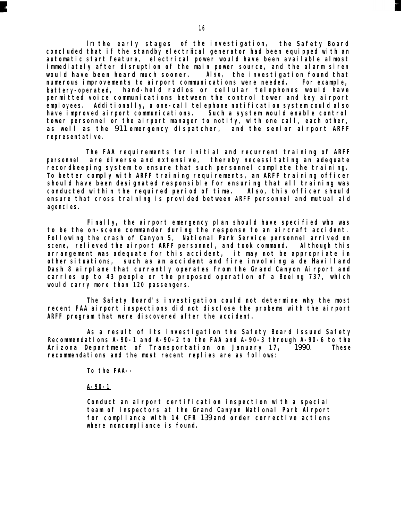In *the early stages of the investigation, the Safety Board concluded that if the standby electrical generator had been equipped with an automatic start feature, electrical power would have been available almost immediately after disruption of the main power source, and the alarm siren would have been heard much sooner. Also, the investigation found that numerous improvements to airport communications were needed. For example, battery-operated, hand-held radios or cellular telephones would have permitted voice communications between the control tower and key airport employees. Additionally, a one-call telephone notification system could also have improved airport communications. Such a system would enable control tower personnel or the airport manager to notify, with one call, each other, as well as the* 911 *emergency dispatcher, and the senior airport ARFF representative.*

*The FAA requirements for initial and recurrent training of ARFF personnel are diverse and extensive, thereby necessitating an adequate recordkeeping system to ensure that such personnel complete the training. To better comply with ARFF training requirements, an ARFF training officer should have been designated responsible for ensuring that all training was conducted within the required period of time. Also, this officer should ensure that cross training is provided between ARFF personnel and mutual aid agencies.*

*Finally, the airport emergency plan should have specified who was to be the on-scene commander during the response to an aircraft accident. Following the crash of Canyon 5, National Park Service personnel arrived on scene, relieved the airport ARFF personnel, and took command. Although this arrangement was adequate for this accident, it may not be appropriate in other situations, such as an accident and fire involving a de Havilland Dash 8 airplane that currently operates from the Grand Canyon Airport and carries up to 43 people or the proposed operation of a Boeing 737, which would carry more than 120 passengers.*

*The Safety Board's investigation could not determine why the most recent FAA airport inspections did not disclose the probems with the airport ARFF program that were discovered after the accident.*

*As a result of its investigation the Safety Board issued Safety Recommendations A-90-1 and A-90-2 to the FAA and A-90-3 through A-90-6 to the Arizona Department of Transportation on January 17,* 1990. *These recommendations and the most recent replies are as follows:*

*To the FAA--*

*A-90-1*

*Conduct an airport certification inspection with a special team of inspectors at the Grand Canyon National Park Airport for compliance with 14 CFR* 139 *and order corrective actions where noncompliance is found.*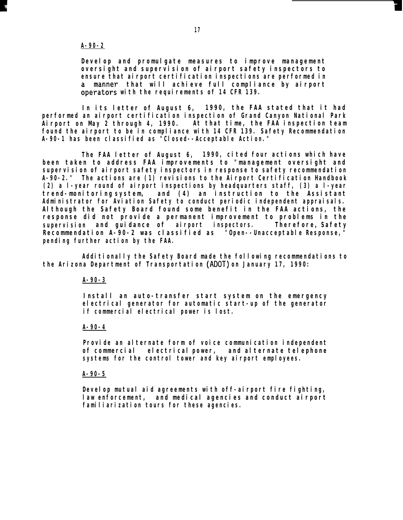#### *A-90-2*

*Develop and promulgate measures to improve management oversight and supervision of airport safety inspectors to ensure that airport certification inspections are performed in that will achieve full compliance by airport* operators with the requirements of 14 CFR 139.

*In its letter of August 6, 1990, the FAA stated that it had performed an airport certification inspection of Grand Canyon National Park Airport on May 2 through 4, 1990. At that time, the FAA inspection team found the airport to be in compliance with 14 CFR 139. Safety Recommendation A-90-1 has been classified as "Closed--Acceptable Action."*

*The FAA letter of August 6, 1990, cited four actions which have been taken to address FAA improvements to "management oversight and supervision of airport safety inspectors in response to safety recommendation A-90-2." The actions are (1) revisions to the Airport Certification Handbook (2) a l-year round of airport inspections by headquarters staff, (3) a l-year trend-monitoring system, and (4) an instruction to the Assistant Administrator for Aviation Safety to conduct periodic independent appraisals. Although the Safety Board found some benefit in the FAA actions, the response did not provide a permanent improvement to problems in the supervision and guidance of airport inspectors. Therefore, Safety Recommendation A-90-2 was classified as "Open--Unacceptable Response," pending further action by the FAA.*

*Additionally the Safety Board made the following recommendations to the Arizona Department of Transportation (ADOT) on January 17, 1990:*

*A-90-3*

*Install an auto-transfer start system on the emergency electrical generator for automatic start-up of the generator if commercial electrical power is lost.*

#### *A-90-4*

*Provide an alternate form of voice communication independent of commercial electrical power, and alternate telephone systems for the control tower and key airport employees.*

#### *A-90-5*

*Develop mutual aid agreements with off-airport fire fighting, law enforcement, and medical agencies and conduct airport familiarization tours for these agencies.*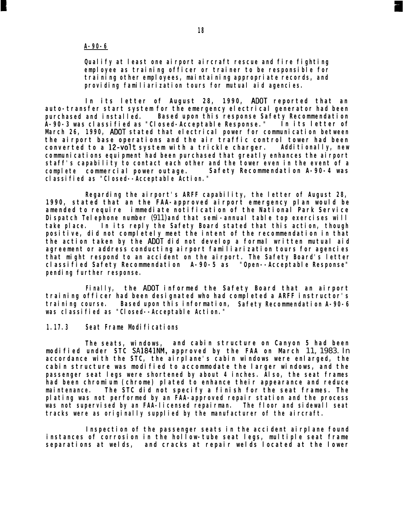#### *A-90-6*

*Qualify at least one airport aircraft rescue and fire fighting employee as training officer or trainer to be responsible for training other employees, maintaining appropriate records, and providing familiarization tours for mutual aid agencies.*

*In its letter of August 28, 1990, ADOT reported that an auto-transfer start system for the emergency electrical generator had been purchased and installed. Based upon this response Safety Recommendation A-90-3 was classified as "Closed-Acceptable Response." In its letter of March 26, 1990, ADOT stated that electrical power for communication between the airport base operations and the air traffic control tower had been converted to a 12-volt system with a trickle charger. Additionally, new communications equipment had been purchased that greatly enhances the airport staff's capability to contact each other and the tower even in the event of a complete commercial power outage. Safety Recommendation A-90-4 was classified as "Closed--Acceptable Action."*

*Regarding the airport's ARFF capability, the letter of August 28, 1990, stated that an the FAA-approved airport emergency plan would be amended to require immediate notification of the National Park Service Dispatch Telephone number* (911) *and that semi-annual table top exercises will take place. In its reply the Safety Board stated that this action, though positive, did not completely meet the intent of the recommendation in that the action taken by the ADOT did not develop a formal written mutual aid agreement or address conducting airport familiarization tours for agencies that might respond to an accident on the airport. The Safety Board's letter classified Safety Recommendation A-90-5 as "Open--Acceptable Response" pending further response.*

*Finally, the ADOT informed the Safety Board that an airport training officer had been designated who had completed a ARFF instructor's training course. Based upon this information, Safety Recommendation A-90-6 was classified as "Closed--Acceptable Action."*

#### *1.17.3 Seat Frame Modifications*

*The seats, windows, and cabin structure on Canyon 5 had been modified under STC SA1841NM, approved by the FAA on March* 11, 1983. In *accordance with the STC, the airplane's cabin windows were enlarged, the cabin structure was modified to accommodate the larger windows, and the passenger seat legs were shortened by about 4 inches. Also, the seat frames had been chromium (chrome) plated to enhance their appearance and reduce maintenance. The STC did not specify a finish for the seat frames. The plating was not performed by an FAA-approved repair station and the process was not supervised by an FAA-licensed repairman. The floor and sidewall seat tracks were as originally supplied by the manufacturer of the aircraft.*

*Inspection of the passenger seats in the accident airplane found instances of corrosion in the hollow-tube seat legs, multiple seat frame separations at welds, and cracks at repair welds located at the lower*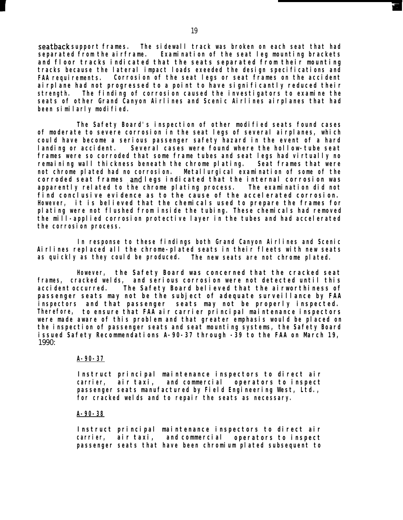*seatback support frames. The sidewall track was broken on each seat that had separated from the airframe. Examination of the seat leg mounting brackets and floor tracks indicated that the seats separated from their mounting tracks because the lateral impact loads exeeded the design specifications and FAA requirements. Corrosion of the seat legs or seat frames on the accident airplane had not progressed to a point to have significantly reduced their strength. The finding of corrosion caused the investigators to examine the seats of other Grand Canyon Airlines and Scenic Airlines airplanes that had been similarly modified.*

*The Safety Board's inspection of other modified seats found cases of moderate to severe corrosion in the seat legs of several airplanes, which could have become a serious passenger safety hazard in the event of a hard landing or accident. Several cases were found where the hollow-tube seat frames were so corroded that some frame tubes and seat legs had virtually no remaining wall thickness beneath the chrome plating. Seat frames that were not chrome plated had no corrosion. Metallurgical examination of some of the corroded seat frames ,and legs indicated that the internal corrosion was apparently related to the chrome plating process. The examination did not find conclusive evidence as to the cause of the accelerated corrosion. However, it is believed that the chemicals used to prepare the frames for plating were not flushed from inside the tubing. These chemicals had removed the mill-applied corrosion protective layer in the tubes and had accelerated the corrosion process.*

*In response to these findings both Grand Canyon Airlines and Scenic Airlines replaced all the chrome-plated seats in their fleets with new seats as quickly as they could be produced. The new seats are not chrome plated.*

*However, the Safety Board was concerned that the cracked seat frames, cracked welds, and serious corrosion were not detected until this accident occurred. The Safety Board believed that the airworthiness of passenger seats may not be the subject of adequate surveillance by FAA inspectors and that passenger seats may not be properly inspected. Therefore, to ensure that FAA air carrier principal maintenance inspectors were made aware of this problem and that greater emphasis would be placed on the inspection of passenger seats and seat mounting systems, the Safety Board issued Safety Recommendations A-90-37 through -39 to the FAA on March 19,* 1990:

#### *A-90-37*

*Instruct principal maintenance inspectors to direct air carrier, air taxi, and commercial operators to inspect passenger seats manufactured by Field Engineering West, Ltd., for cracked welds and to repair the seats as necessary.*

#### *A-90-38*

*Instruct principal maintenance inspectors to direct air carrier, air taxi, and commercial operators to inspect passenger seats that have been chromium plated subsequent to*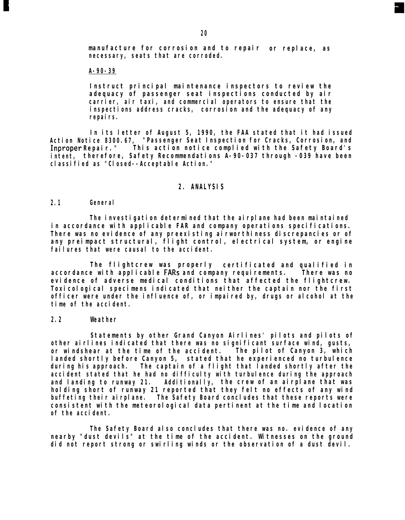*manufacture for corrosion and to repair or replace, as necessary, seats that are corroded.*

#### *A-90-39*

*Instruct principal maintenance inspectors to review the adequacy of passenger seat inspections conducted by air carrier, air taxi, and commercial operators to ensure that the inspections address cracks, corrosion and the adequacy of any repairs.*

*In its letter of August 5, 1990, the FAA stated that it had issued Action Notice 8300.67, "Passenger Seat Inspection for Cracks, Corrosion, and Inproper Repair." This action notice complied with the Safety Board's intent, therefore, Safety Recommendations A-90-037 through -039 have been classified as "Closed--Acceptable Action."*

#### *2. ANALYSIS*

#### *2.1 General*

*The investigation determined that the airplane had been maintained in accordance with applicable FAR and company operations specifications. There was no evidence of any preexisting airworthiness discrepancies or of any preimpact structural, flight control, electrical system, or engine failures that were causal to the accident.*

*The flightcrew was properly certificated and qualified in accordance with applicable FARs and company requirements. There was no evidence of adverse medical conditions that affected the flightcrew. Toxicological specimens indicated that neither the captain nor the first officer were under the influence of, or impaired by, drugs or alcohol at the time of the accident.*

#### *2.2 Weather*

*Statements by other Grand Canyon Airlines' pilots and pilots of other airlines indicated that there was no significant surface wind, gusts, or windshear at the time of the accident. The pilot of Canyon 3, which landed shortly before Canyon 5, stated that he experienced no turbulence during his approach. The captain of a flight that landed shortly after the accident stated that he had no difficulty with turbulence during the approach and landing to runway 21. Additionally, the crew of an airplane that was holding short of runway 21 reported that they felt no effects of any wind buffeting their airplane. The Safety Board concludes that these reports were consistent with the meteorological data pertinent at the time and location of the accident.*

*The Safety Board also concludes that there was no. evidence of any nearby "dust devils" at the time of the accident. Witnesses on the ground did not report strong or swirling winds or the observation of a dust devil.*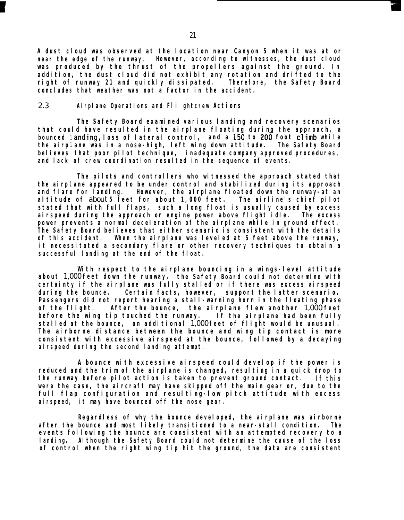*A dust cloud was observed at the location near Canyon 5 when it was at or near the edge of the runway. However, according to witnesses, the dust cloud was produced by the thrust of the propellers against the ground. In addition, the dust cloud did not exhibit any rotation and drifted to the right of runway 21 and quickly dissipated. Therefore, concludes that weather was not a factor in the accident. the Safety Board*

#### 2.3 *Airplane Operations and Fli ghtcrew Actions*

*The Safety Board examined various landing and recovery scenarios that could have resulted in the airplane floating during the approach, a bounced <sup>1</sup> anding, loss of lateral control, and a 156 to 206 foot cl'imb while the airp <sup>1</sup> ane was in a nose-high, left wing down attitude. The Safety Board believes that poor pilot technique, inadequate company approved procedures, and lack of crew coordination resulted in the sequence of events.*

*the airp <sup>1</sup> ane appeared to be under control and stabilized during its approach The pilots and controllers who witnessed the approach stated that and flare for landing. However, the airplane floated down the runway-at an altitude of* about *5 feet for about 1,000 feet. stated that with full flaps, such a long float is usually caused by excess The airline's chief pilot airspeed during the approach or engine power above flight idle. The excess power prevents a normal deceleration of the airplane while in ground effect. The Safety Board believes that either scenario is consistent with the details of this accident. When the airplane was leveled at 5 feet above the runway, it necessitated a secondary flare or other recovery techniques to obtain a successful landing at the end of the float.*

*With respect to the airplane bouncing in a wings-level attitude about* 1,000 *feet down the runway, the Safety Board could not determine with certainty if the airplane was fully stalled or if there was excess airspeed during the bounce. Certain facts, however, support the latter scenario. Passengers did not report hearing a stall-warning horn in the floating phase of the flight. After the bounce, the airplane flew another* 1,000 *feet before the wing tip touched the runway. stalled at the bounce, an additional* 1,000 *feet of flight would be unusual. If the airplane had been fully The airborne distance between the bounce and wing tip contact is more consistent with excessive airspeed at the bounce, followed by a decaying airspeed during the second landing attempt.*

*A bounce with excessive airspeed could develop if the power is reduced and the trim of the airplane is changed, resulting in a quick drop to the runway before pilot action is taken to prevent ground contact. If this were the case, the aircraft may have skipped off the main gear or, due to the full flap configuration and resulting-low pitch attitude with excess airspeed, it may have bounced off the nose gear.*

*Regardless of why the bounce developed, the airplane was airborne after the bounce and most likely transitioned to a near-stall condition. The events following the bounce are consistent with an attempted recovery to a landing. Although the Safety Board could not determine the cause of the loss of control when the right wing tip hit the ground, the data are consistent*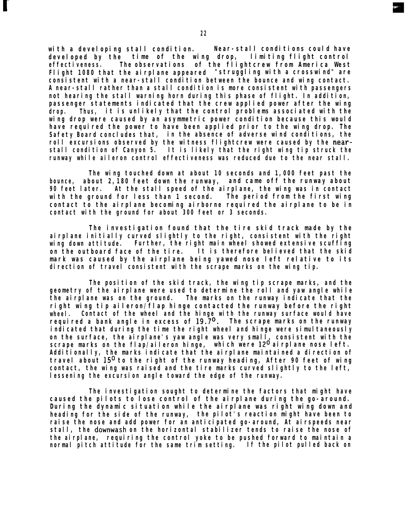*with a developing stall condition. Near-stall conditions could have developed by the time of the wing drop, limiting flight control effectiveness. The observations of the flightcrew from America West Flight 1080 that the airplane appeared "struggling with a crosswind" are consistent with a near-stall condition between the bounce and wing contact. A near-stall rather than a stall condition is more consistent with passengers not hearing the stall warning horn during this phase of flight. In addition, passenger statements indicated that the crew applied power after the wing drop. Thus, it is unlikely that the control problems associated with the wing drop were caused by an asymmetric power condition because this would have required the power to have been applied prior to the wing drop. The Safety Board concludes that, in the absence of adverse wind conditions, the roll excursions observed by the witness flightcrew were caused by the nearstall condition of Canyon 5. It is likely that the right wing tip struck the runway while aileron control effectiveness was reduced due to the near stall.*

*The wing touched down at about 10 seconds and 1,000 feet past the bounce, about 2,180 feet down the runway, and came off the runway about 90 feet later. At the stall speed of the airplane, the wing was in contact with the ground for less than 1 second. contact to the airplane becoming airborne required the airplane to be in contact with the ground for about 300 feet or 3 seconds.*

*The investigation found that the tire skid track made by the airplane initially curved slightly to the right, consistent with the right wing down attitude. Further, the right main wheel showed extensive scuffing on the outboard face of the tire. It is therefore believed that the skid mark was caused by the airplane being yawed nose left relative to its direction of travel consistent with the scrape marks on the wing tip.*

*The position of the skid track, the wing tip scrape marks, and the geometry of the airplane were used to determine the roll and yaw angle while the airplane was on the ground. The marks on the runway indicate that the right wing tip aileron/flap hinge contacted the runway before the right wheel. Contact of the wheel and the hinge with the runway surface would have required a bank angle in excess of 19.7O. The scrape marks on the runway indicated that during the time the right wheel and hinge were simultaneously on the surface, the airplane's yaw angle was very small, consistent with the scrape marks on the flap/aileron hinge, which were 12O airplane nose left. Additionally, the marks indicate that the airplane maintained a direction of travel about 15O to the right of the runway heading, After 90 feet of wing contact, the wing was raised and the tire marks curved slightly to the left, lessening the excursion angle toward the edge of the runway.*

*The investigation sought to determine the factors that might have caused the pilots to lose control of the airplane during the go-around. During the dynamic situation while the airplane was right wing down and heading for the side of the runway, the pilot's reaction might have been to raise the nose and add power for an anticipated go-around, At airspeeds near stall, the downwash on the horizontal stabilizer tends to raise the nose of the airplane, requiring the control yoke to be pushed forward to maintain a normal pitch attitude for the same trim setting. If the pilot pulled back on*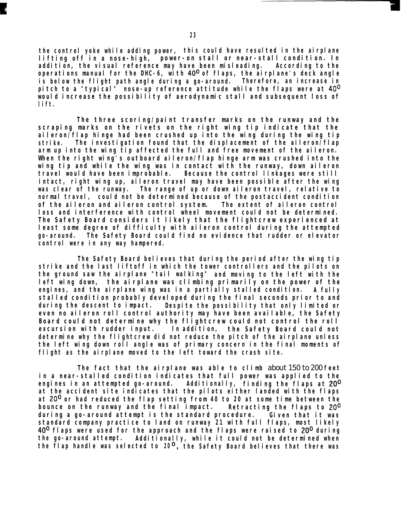*the control yoke while adding power, this could have resulted in the airplane lifting off in a nose-high, power-on stall or near-stall condition. In addition, the visual reference may have been misleading. According to the operations manual for the DHC-6, with 40° of flaps, the airplane's deck angle is below the flight path angle during a go-around. Therefore, an increase in pitch to a "typical" nose-up reference attitude while the flaps were at 40° would increase the possibility of aerodynamic stall and subsequent loss of lift.*

*The three scoring/paint transfer marks on the runway and the scraping marks on the rivets on the right wing tip indicate that the aileron/flap hinge had been crushed up into the wing during the wing tip strike. The investigation found that the displacement of the aileron/flap arm up into the wing tip affected the full and free movement of the aileron. When the right wing's outboard aileron/flap hinge arm was crushed into the wing tip and while the wing was in contact with the runway, down aileron travel would have been improbable. Because the control linkages were still intact, right wing up, aileron travel may have been possible after the wing was clear of the runway. The range of up or down aileron travel, relative to normal travel, could not be determined because of the postaccident condition of the aileron and aileron control system. The extent of aileron control loss and interference with control wheel movement could not be determined. The Safety Board considers it likely that the flightcrew experienced at least some degree of difficulty with aileron control during the attempted go-around. The Safety Board could find no evidence that rudder or elevator control were in any way hampered.*

*The Safety Board believes that during the period after the wing tip strike and the last liftoff in which the tower controllers and the pilots on the ground saw the airplane "tail walking" and moving to the left with the left wing down, the airplane was climbing primarily on the power of the engines, and the airplane wing was in a partially stalled condition. A fully stalled condition probably developed during the final seconds prior to and during the descent to impact. Despite the possibility that only limited or even no aileron roll control authority may have been available, the Safety Board could not determine why the flightcrew could not control the roll excursion with rudder input. In addition, the Safety Board could not determine why the flightcrew did not reduce the pitch of the airplane unless the left wing down roll angle was of primary concern in the final moments of flight as the airplane moved to the left toward the crash site.*

*The fact that the airplane was able to climb* about 150 to 200 *feet in a near-stalled condition indicates that full power was applied to the engines in an attempted go-around. Additionally, finding the flaps at 20° at the accident site indicates that the pilots either landed with the flaps at 20° or had reduced the flap setting from 40 to 20 at some time between the bounce on the runway and the final impact. Retracting the flaps to 20° during a go-around attempt is the standard procedure. Given that it was standard company practice to land on runway 21 with full flaps, most likely 40° flaps were used for the approach and the flaps were raised to 20° during the go-around attempt. Additionally, while it could not be determined when the flap handle was selected to 20 O, the Safety Board believes that there was*

**k**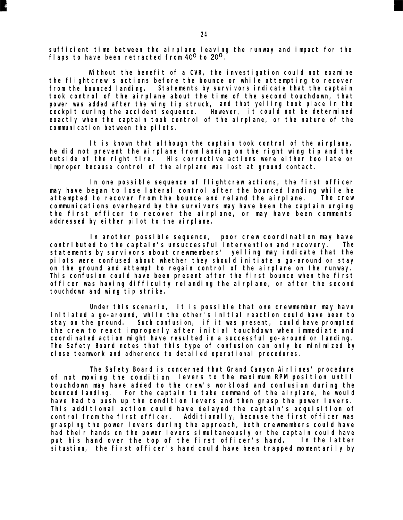*sufficient time between the airplane leaving the runway and impact for the flaps to have been retracted from 40° to 20°.*

*Without the benefit of a CVR, the investigation could not examine the flightcrew's actions before the bounce or while attempting to recover from the bounced landing. Statements by survivors indicate that the captain took control of the airplane about the time of the second touchdown, that power was added after the wing tip struck, and that yelling took place in the cockpit during the accident sequence. However, it could not be determined exactly when the captain took control of the airplane, or the nature of the communication between the pilots.*

*It is known that although the captain took control of the airplane, he did not prevent the airplane from landing on the right wing tip and the outside of the right tire. His corrective actions were either too late or improper because control of the airplane was lost at ground contact.*

*In one possible sequence of flightcrew actions, the first officer may have began to lose lateral control after the bounced landing while he attempted to recover from the bounce and reland the airplane. The crew communications overheard by the survivors may have been the captain urging the first officer to recover the airplane, or may have been comments addressed by either pilot to the airplane.*

*In another possible sequence, poor crew coordination may have contributed to the captain's unsuccessful intervention and recovery. The statements by survivors about crewmembers' yelling may indicate that the pilots were confused about whether they should initiate a go-around or stay on the ground and attempt to regain control of the airplane on the runway. This confusion could have been present after the first bounce when the first officer was having difficulty relanding the airplane, or after the second touchdown and wing tip strike.*

*Under this scenario, it is possible that one crewmember may have initiated a go-around, while the other's initial reaction could have been to stay on the ground. Such confusion, if it was present, could have prompted the crew to react improperly after initial touchdown when immediate and coordinated action might have resulted in a successful go-around or landing. The Safety Board notes that this type of confusion can only be minimized by close teamwork and adherence to detailed operational procedures.*

*The Safety Board is concerned that Grand Canyon Airlines' procedure of not moving the condition levers to the maximum RPM position until touchdown may have added to the crew's workload and confusion during the For the captain to take command of the airplane, he would have had to push up the condition levers and then grasp the power levers. This additional action could have delayed the captain's acquisition of control from the first officer. Additionally, because the first officer was grasping the power levers during the approach, both crewmembers could have had their hands on the power levers simultaneously or the captain could have put his hand over the top of the first officer's hand. In the latter situation, the first officer's hand could have been trapped momentarily by*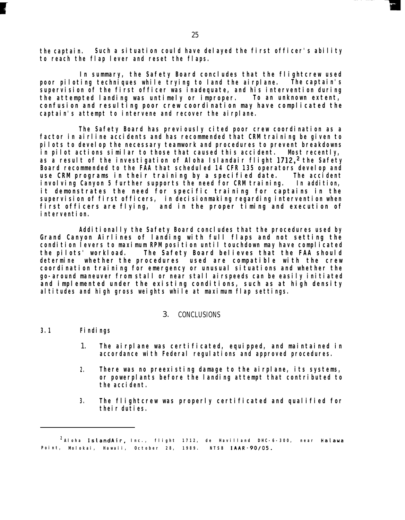*the captain. Such a situation could have delayed the first officer's ability to reach the flap lever and reset the flaps.*

*In summary, the Safety Board concludes that the flightcrew used poor piloting techniques while trying to land the airplane. The captain's supervision of the first officer was inadequate, and his intervention during the attempted landing was untimely or improper. To an unknown extent, confusion and resulting poor crew coordination may have complicated the captain's attempt to intervene and recover the airplane.*

*The Safety Board has previously cited poor crew coordination as a factor in airline accidents and has recommended that CRM training be given to pilots to develop the necessary teamwork and procedures to prevent breakdowns in pilot actions similar to those that caused this accident. Most recently,* as a result of the investigation of Aloha Islandair flight 1712,<sup>2</sup> the Safety *Board recommended to the FAA that scheduled 14 CFR 135 operators develop and use CRM programs in their training by a specified date. The accident involving Canyon 5 further supports the need for CRM training. In addition, it demonstrates the need for specific training for captains in the supervision of first officers, in decisionmaking regarding intervention when first officers are flying, and in the proper timing and execution of intervention.*

*Additionally the Safety Board concludes that the procedures used by Grand Canyon Airlines of landing with full flaps and not setting the condition levers to maximum RPM position until touchdown may have complicated the pilots' workload. The Safety Board believes that the FAA should determine whether the procedures used are compatible with the crew coordination training for emergency or unusual situations and whether the go-around maneuver from stall or near stall airspeeds can be easily initiated and implemented under the existing conditions, such as at high density altitudes and high gross weights while at maximum flap settings.*

#### 3. CONCLUSIONS

#### *3.1 Findings*

- 1. *The airplane was certificated, equipped, and maintained in accordance with Federal regulations and approved procedures.*
- *2. There was no preexisting damage to the airplane, its systems, or powerplants before the landing attempt that contributed to the accident.*
- *3. The flightcrew was properly certificated and qualified for their duties.*

*<sup>2</sup> Aloha IslandAir, Inc., flight 1712 , de Havilland DHC-6-300, near Halawa Point , Molokai, Hawaii, October 28, 1989 . NTSB IAAR-90/05.*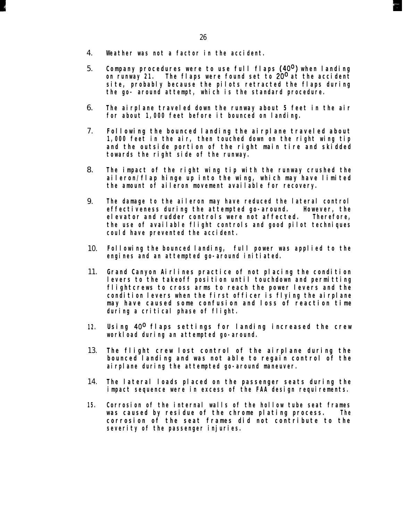- 4. *Weather was not a factor in the accident.*
- 5. *Company procedures were to use full flaps (40°) when landing on runway 21. The flaps were found set to 20° at the accident site, probably because the pilots retracted the flaps during the go- around attempt, which is the standard procedure.*
- 6. *The airplane traveled down the runway about 5 feet in the air for about 1,000 feet before it bounced on landing.*
- 7. *Following the bounced landing the airplane traveled about 1,000 feet in the air, then touched down on the right wing tip and the outside portion of the right main tire and skidded towards the right side of the runway.*
- 8. *The impact of the right wing tip with the runway crushed the aileron/flap hinge up into the wing, which may have limited the amount of aileron movement available for recovery.*
- 9. *The damage to the aileron may have reduced the lateral control effectiveness during the attempted go-around. However, the elevator and rudder controls were not affected. Therefore, the use of available flight controls and good pilot techniques could have prevented the accident.*
- 10. *Following the bounced landing, full power was applied to the engines and an attempted go-around initiated.*
- 11. *Grand Canyon Airlines practice of not placing the condition levers to the takeoff position until touchdown and permitting flightcrews to cross arms to reach the power levers and the condition levers when the first officer is flying the airplane may have caused some confusion and loss of reaction time during a critical phase of flight.*
- *12. Using 40° flaps settings for landing increased the crew workload during an attempted go-around.*
- 13. *The flight crew lost control of the airplane during the bounced landing and was not able to regain control of the airplane during the attempted go-around maneuver.*
- 14. *The lateral loads placed on the passenger seats during the impact sequence were in excess of the FAA design requirements.*
- *15. Corrosion of the internal walls of the hollow tube seat frames was caused by residue of the chrome plating process. The corrosion of the seat frames did not contribute to the severity of the passenger injuries.*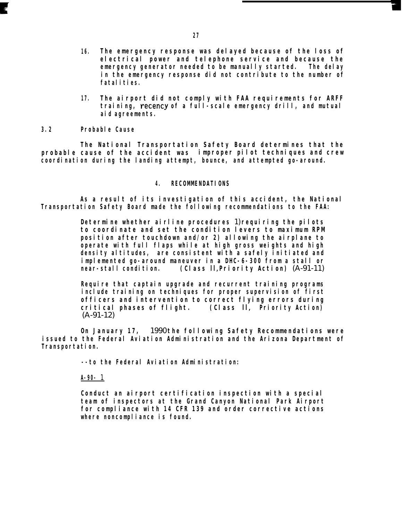- *16. The emergency response was delayed because of the loss of electrical power and telephone service and because the emergency generator needed to be manually started. The delay in the emergency response did not contribute to the number of fatalities.*
- *17. The airport did not comply with FAA requirements for ARFF training, recency of a full-scale emergency drill, and mutual aid agreements.*

*3.2 Probable Cause*

*The National Transportation Safety Board determines that the probable cause of the accident was improper pilot techniques and crew coordination during the landing attempt, bounce, and attempted go-around.*

#### *4. RECOMMENDATIONS*

*As a result of its investigation of this accident, the National Transportation Safety Board made the following recommendations to the FAA:*

> *Determine whether airline procedures* 1) *requiring the pilots to coordinate and set the condition levers to maximum RPM position after touchdown and/or 2) allowing the airplane to operate with full flaps while at high gross weights and high density altitudes, are consistent with a safely initiated and implemented go-around maneuver in a DHC-6-300 from a stall or near-stall condition. (Class* II, *Priority Action)* (A-91-11)

> *Require that captain upgrade and recurrent training programs include training on techniques for proper supervision of first officers and intervention to correct flying errors during critical phases of flight. (Class* II, *Priority Action)* (A-91-12)

*On January 17,* 1990 *the following Safety Recommendations were issued to the Federal Aviation Administration and the Arizona Department of Transportation.*

*--to the Federal Aviation Administration:*

*A-90-* 1

*Conduct an airport certification inspection with a special team of inspectors at the Grand Canyon National Park Airport for compliance with 14 CFR 139 and order corrective actions where noncompliance is found.*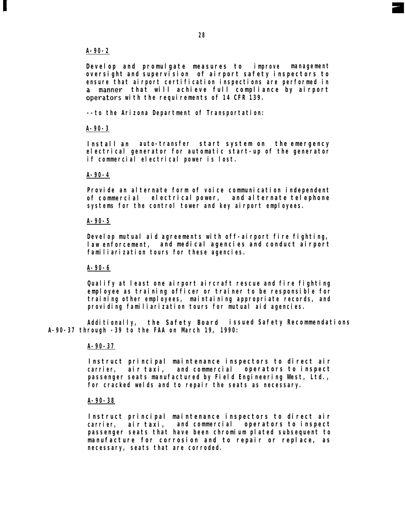#### *A-90-2*

*Develop and promulgate measures to improve management oversight and supervision of airport safety inspectors to ensure that airport certification inspections are performed in that will achieve full compliance by airport* operators with the requirements of 14 CFR 139.

*--to the Arizona Department of Transportation:*

#### *A-90-3*

*Install an auto-transfer start system on the emergency electrical generator for automatic start-up of the generator if commercial electrical power is lost.*

#### *A-90-4*

*Provide an alternate form of voice communication independent of commercial electrical power, and alternate telephone systems for the control tower and key airport employees.*

#### *A-90-5*

*Develop mutual aid agreements with off-airport fire fighting, law enforcement, and medical agencies and conduct airport familiarization tours for these agencies.*

#### *A-90-6*

*Qualify at least one airport aircraft rescue and fire fighting employee as training officer or trainer to be responsible for training other employees, maintaining appropriate records, and providing familiarization tours for mutual aid agencies.*

*Additionally, the Safety Board issued Safety Recommendations A-90-37 through -39 to the FAA on March 19, 1990:*

#### *A-90-37*

*Instruct principal maintenance inspectors to direct air carrier, air taxi, and commercial operators to inspect passenger seats manufactured by Field Engineering West, Ltd., for cracked welds and to repair the seats as necessary.*

#### *A-90-38*

*Instruct principal maintenance inspectors to direct air carrier, air taxi, and commercial operators to inspect passenger seats that have been chromium plated subsequent to manufacture for corrosion and to repair or replace, as necessary, seats that are corroded.*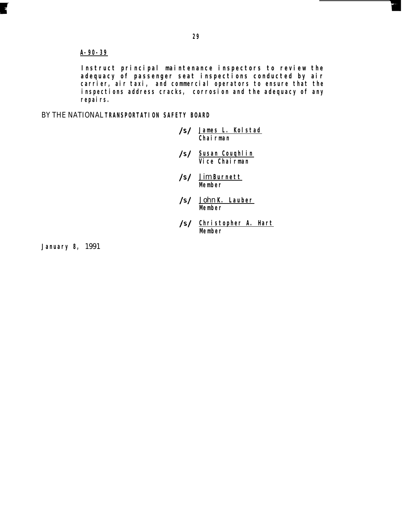#### *A-90-39*

*Instruct principal maintenance inspectors to review the adequacy of passenger seat inspections conducted by air carrier, air taxi, and commercial operators to ensure that the inspections address cracks, corrosion and the adequacy of any repairs.*

BY THE NATIONAL *TRANSPORTATION SAFETY BOARD*

- **/S/** *James L. Kolstad Chairman*
- **/sl** *Susan Couqhlin Vice Chairman*
- **/s/** Jim *Burnett Member*
- **Is/** John *K. Lauber Member*
- **/s/** *Christopher A. Hart Member*

*January 8,* 1991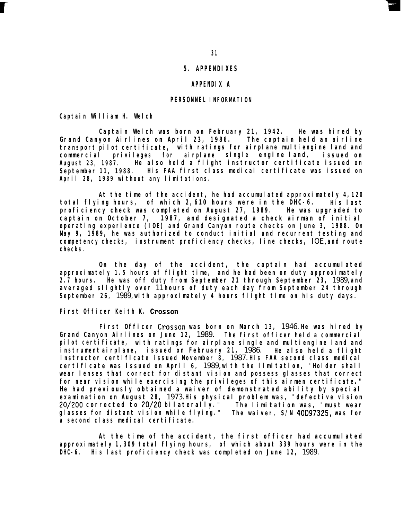#### *5. APPENDIXES*

#### *APPENDIX A*

#### *PERSONNEL INFORMATION*

*Captain William H. Welch*

**c**

*Captain Welch was born on February 21, 1942. He was hired by Grand Canyon Airlines on April 23, 1986. The captain held an airline transport pilot certificate, with ratings for airplane multiengine land and commercial privileges for airplane single engine land, issued on August 23, 1987. He also held a flight instructor certificate issued on September 11, 1988. His FAA first class medical certificate was issued on April 28, 1989 without any limitations.*

*At the time of the accident, he had accumulated approximately 4,120 total flying hours, of which 2,610 hours were in the DHC-6. His last proficiency check was completed on August 27, 1989. He was upgraded to captain on October 7, 1987, and designated a check airman of initial operating experience (IOE) and Grand Canyon route checks on June 3, 1988. On May 9, 1989, he was authorized to conduct initial and recurrent testing and competency checks, instrument proficiency checks, line checks,* IOE, *and route checks.*

*On the day of the accident, the captain had accumulated approximately 1.5 hours of flight time, and he had been on duty approximately 2.7 hours. He was off duty from September 21 through September 23,* 1989, *and averaged slightly over* 11 *hours of duty each day from September 24 through September 26,* 1989, *with approximately 4 hours flight time on his duty days.*

#### *First Officer Keith K. Crosson*

*First Officer Crosson was born on March 13,* 1946. *He was hired by Grand Canyon Airlines on June 12,* 1989. *The first officer held a commercial pilot certificate, with ratings for airplane single and multiengine land and instrument airplane, issued on February 21,* 1986. *He also held a flight instructor certificate issued November 8,* 1987. *His FAA second class medical certificate was issued on April 6,* 1989, *with the limitation, "Holder shall wear lenses that correct for distant vision and possess glasses that correct for near vision while exercising the privileges of this airmen certificate." He had previously obtained a waiver of demonstrated ability by special examination on August 28,* 1973. *His physical problem was, "defective vision 20/200 corrected to 20/20 bilaterally." The limitation was, "must wear glasses for distant vision while flying." The waiver, S/N 4OD97325, was for a second class medical certificate.*

*At the time of the accident, the first officer had accumulated approximately 1,309 total flying hours, of which about 339 hours were in the DHC-6. His last proficiency check was completed on June 12,* 1989.